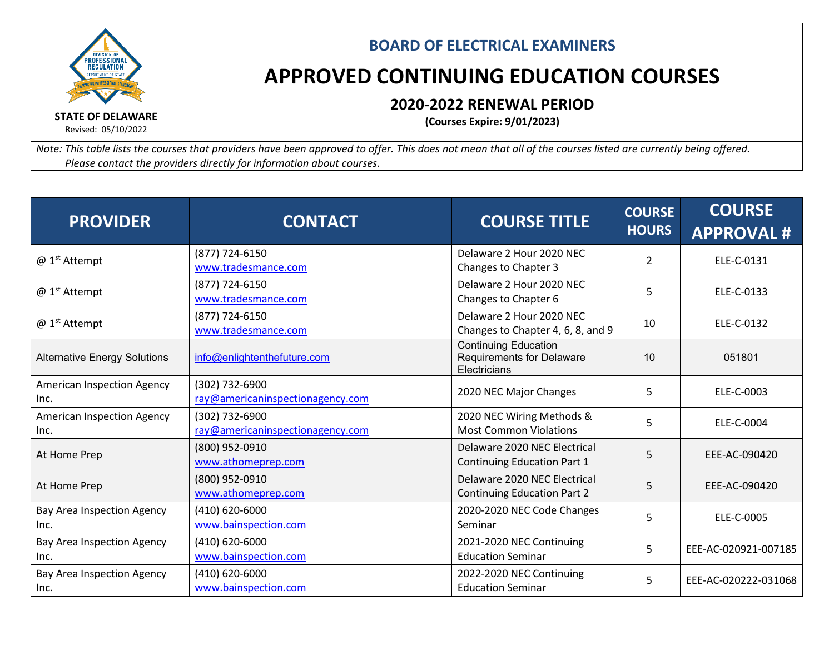

## **BOARD OF ELECTRICAL EXAMINERS**

## **APPROVED CONTINUING EDUCATION COURSES**

## **2020-2022 RENEWAL PERIOD**

**(Courses Expire: 9/01/2023)**

*Note: This table lists the courses that providers have been approved to offer. This does not mean that all of the courses listed are currently being offered. Please contact the providers directly for information about courses.*

| <b>PROVIDER</b>                           | <b>CONTACT</b>                                     | <b>COURSE TITLE</b>                                                      | <b>COURSE</b><br><b>HOURS</b> | <b>COURSE</b><br><b>APPROVAL#</b> |
|-------------------------------------------|----------------------------------------------------|--------------------------------------------------------------------------|-------------------------------|-----------------------------------|
| $@1st$ Attempt                            | (877) 724-6150<br>www.tradesmance.com              | Delaware 2 Hour 2020 NEC<br>Changes to Chapter 3                         | $\overline{2}$                | ELE-C-0131                        |
| @ 1 <sup>st</sup> Attempt                 | (877) 724-6150<br>www.tradesmance.com              | Delaware 2 Hour 2020 NEC<br>Changes to Chapter 6                         | 5                             | ELE-C-0133                        |
| @ 1 <sup>st</sup> Attempt                 | (877) 724-6150<br>www.tradesmance.com              | Delaware 2 Hour 2020 NEC<br>Changes to Chapter 4, 6, 8, and 9            | 10                            | ELE-C-0132                        |
| <b>Alternative Energy Solutions</b>       | info@enlightenthefuture.com                        | <b>Continuing Education</b><br>Requirements for Delaware<br>Electricians | 10                            | 051801                            |
| <b>American Inspection Agency</b><br>Inc. | (302) 732-6900<br>ray@americaninspectionagency.com | 2020 NEC Major Changes                                                   | 5                             | ELE-C-0003                        |
| <b>American Inspection Agency</b><br>Inc. | (302) 732-6900<br>ray@americaninspectionagency.com | 2020 NEC Wiring Methods &<br><b>Most Common Violations</b>               | 5                             | ELE-C-0004                        |
| At Home Prep                              | (800) 952-0910<br>www.athomeprep.com               | Delaware 2020 NEC Electrical<br><b>Continuing Education Part 1</b>       | 5                             | EEE-AC-090420                     |
| At Home Prep                              | (800) 952-0910<br>www.athomeprep.com               | Delaware 2020 NEC Electrical<br><b>Continuing Education Part 2</b>       | 5                             | EEE-AC-090420                     |
| Bay Area Inspection Agency<br>Inc.        | $(410) 620 - 6000$<br>www.bainspection.com         | 2020-2020 NEC Code Changes<br>Seminar                                    | 5                             | ELE-C-0005                        |
| Bay Area Inspection Agency<br>Inc.        | (410) 620-6000<br>www.bainspection.com             | 2021-2020 NEC Continuing<br><b>Education Seminar</b>                     | 5                             | EEE-AC-020921-007185              |
| Bay Area Inspection Agency<br>Inc.        | $(410) 620 - 6000$<br>www.bainspection.com         | 2022-2020 NEC Continuing<br><b>Education Seminar</b>                     | 5                             | EEE-AC-020222-031068              |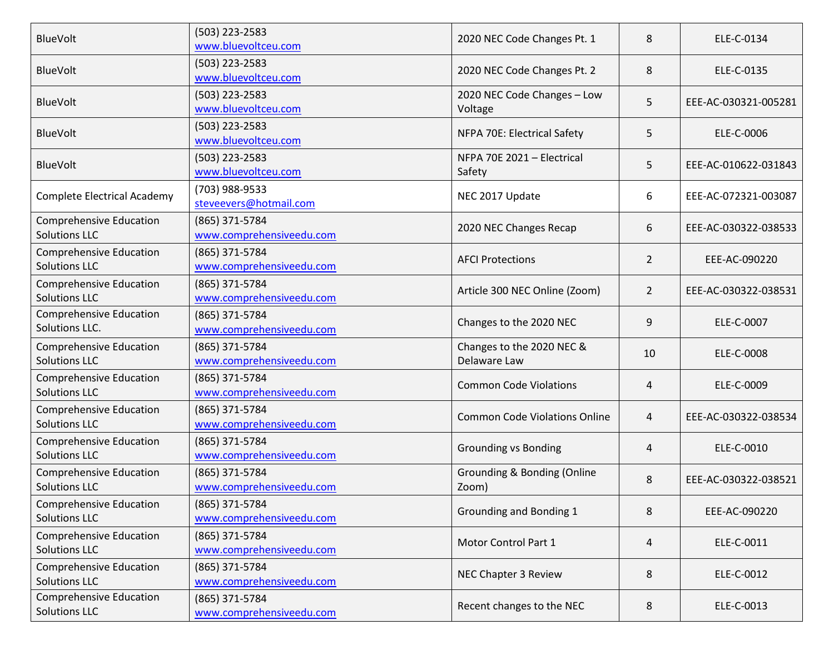| <b>BlueVolt</b>                                        | (503) 223-2583<br>www.bluevoltceu.com      | 2020 NEC Code Changes Pt. 1               | 8              | ELE-C-0134           |
|--------------------------------------------------------|--------------------------------------------|-------------------------------------------|----------------|----------------------|
| <b>BlueVolt</b>                                        | (503) 223-2583<br>www.bluevoltceu.com      | 2020 NEC Code Changes Pt. 2               | 8              | ELE-C-0135           |
| <b>BlueVolt</b>                                        | (503) 223-2583<br>www.bluevoltceu.com      | 2020 NEC Code Changes - Low<br>Voltage    | 5              | EEE-AC-030321-005281 |
| <b>BlueVolt</b>                                        | (503) 223-2583<br>www.bluevoltceu.com      | NFPA 70E: Electrical Safety               | 5              | ELE-C-0006           |
| <b>BlueVolt</b>                                        | (503) 223-2583<br>www.bluevoltceu.com      | NFPA 70E 2021 - Electrical<br>Safety      | 5              | EEE-AC-010622-031843 |
| <b>Complete Electrical Academy</b>                     | (703) 988-9533<br>steveevers@hotmail.com   | NEC 2017 Update                           | 6              | EEE-AC-072321-003087 |
| <b>Comprehensive Education</b><br><b>Solutions LLC</b> | (865) 371-5784<br>www.comprehensiveedu.com | 2020 NEC Changes Recap                    | 6              | EEE-AC-030322-038533 |
| <b>Comprehensive Education</b><br><b>Solutions LLC</b> | (865) 371-5784<br>www.comprehensiveedu.com | <b>AFCI Protections</b>                   | $\overline{2}$ | EEE-AC-090220        |
| <b>Comprehensive Education</b><br><b>Solutions LLC</b> | (865) 371-5784<br>www.comprehensiveedu.com | Article 300 NEC Online (Zoom)             | $\overline{2}$ | EEE-AC-030322-038531 |
| <b>Comprehensive Education</b><br>Solutions LLC.       | (865) 371-5784<br>www.comprehensiveedu.com | Changes to the 2020 NEC                   | 9              | ELE-C-0007           |
| <b>Comprehensive Education</b><br><b>Solutions LLC</b> | (865) 371-5784<br>www.comprehensiveedu.com | Changes to the 2020 NEC &<br>Delaware Law | 10             | ELE-C-0008           |
| <b>Comprehensive Education</b><br><b>Solutions LLC</b> | (865) 371-5784<br>www.comprehensiveedu.com | <b>Common Code Violations</b>             | 4              | ELE-C-0009           |
| <b>Comprehensive Education</b><br><b>Solutions LLC</b> | (865) 371-5784<br>www.comprehensiveedu.com | <b>Common Code Violations Online</b>      | 4              | EEE-AC-030322-038534 |
| <b>Comprehensive Education</b><br><b>Solutions LLC</b> | (865) 371-5784<br>www.comprehensiveedu.com | <b>Grounding vs Bonding</b>               | 4              | ELE-C-0010           |
| <b>Comprehensive Education</b><br><b>Solutions LLC</b> | (865) 371-5784<br>www.comprehensiveedu.com | Grounding & Bonding (Online<br>Zoom)      | 8              | EEE-AC-030322-038521 |
| <b>Comprehensive Education</b><br><b>Solutions LLC</b> | (865) 371-5784<br>www.comprehensiveedu.com | Grounding and Bonding 1                   | 8              | EEE-AC-090220        |
| <b>Comprehensive Education</b><br><b>Solutions LLC</b> | (865) 371-5784<br>www.comprehensiveedu.com | Motor Control Part 1                      | 4              | ELE-C-0011           |
| <b>Comprehensive Education</b><br><b>Solutions LLC</b> | (865) 371-5784<br>www.comprehensiveedu.com | NEC Chapter 3 Review                      | 8              | ELE-C-0012           |
| <b>Comprehensive Education</b><br><b>Solutions LLC</b> | (865) 371-5784<br>www.comprehensiveedu.com | Recent changes to the NEC                 | 8              | ELE-C-0013           |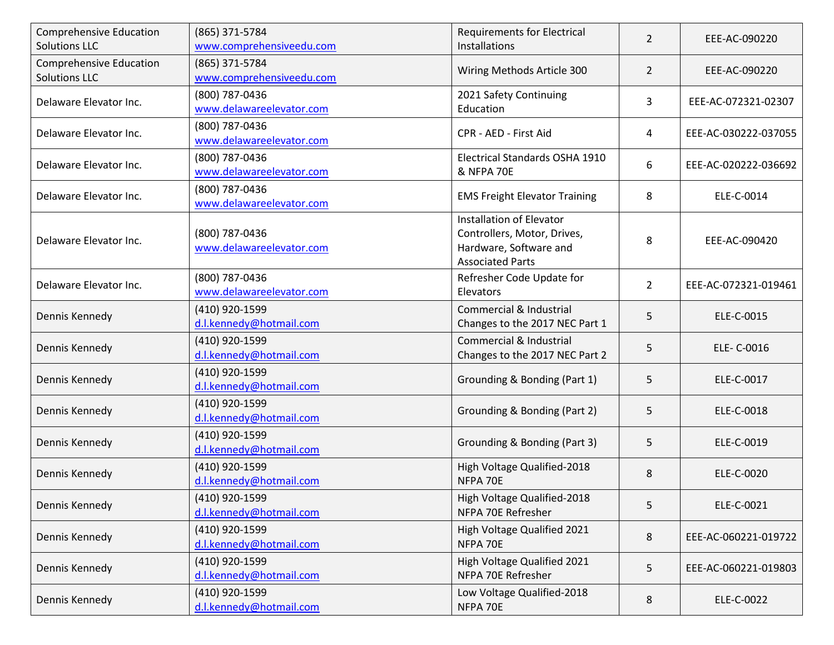| <b>Comprehensive Education</b><br><b>Solutions LLC</b> | (865) 371-5784<br>www.comprehensiveedu.com | <b>Requirements for Electrical</b><br>Installations                                                          | $\overline{2}$ | EEE-AC-090220        |
|--------------------------------------------------------|--------------------------------------------|--------------------------------------------------------------------------------------------------------------|----------------|----------------------|
| <b>Comprehensive Education</b><br><b>Solutions LLC</b> | (865) 371-5784<br>www.comprehensiveedu.com | Wiring Methods Article 300                                                                                   | $\overline{2}$ | EEE-AC-090220        |
| Delaware Elevator Inc.                                 | (800) 787-0436<br>www.delawareelevator.com | 2021 Safety Continuing<br>Education                                                                          | 3              | EEE-AC-072321-02307  |
| Delaware Elevator Inc.                                 | (800) 787-0436<br>www.delawareelevator.com | CPR - AED - First Aid                                                                                        | 4              | EEE-AC-030222-037055 |
| Delaware Elevator Inc.                                 | (800) 787-0436<br>www.delawareelevator.com | Electrical Standards OSHA 1910<br><b>&amp; NFPA 70E</b>                                                      | 6              | EEE-AC-020222-036692 |
| Delaware Elevator Inc.                                 | (800) 787-0436<br>www.delawareelevator.com | <b>EMS Freight Elevator Training</b>                                                                         | 8              | ELE-C-0014           |
| Delaware Elevator Inc.                                 | (800) 787-0436<br>www.delawareelevator.com | Installation of Elevator<br>Controllers, Motor, Drives,<br>Hardware, Software and<br><b>Associated Parts</b> | 8              | EEE-AC-090420        |
| Delaware Elevator Inc.                                 | (800) 787-0436<br>www.delawareelevator.com | Refresher Code Update for<br>Elevators                                                                       | $\overline{2}$ | EEE-AC-072321-019461 |
| Dennis Kennedy                                         | (410) 920-1599<br>d.l.kennedy@hotmail.com  | Commercial & Industrial<br>Changes to the 2017 NEC Part 1                                                    | 5              | ELE-C-0015           |
| Dennis Kennedy                                         | (410) 920-1599<br>d.l.kennedy@hotmail.com  | Commercial & Industrial<br>Changes to the 2017 NEC Part 2                                                    | 5              | ELE- C-0016          |
| Dennis Kennedy                                         | (410) 920-1599<br>d.l.kennedy@hotmail.com  | Grounding & Bonding (Part 1)                                                                                 | 5              | ELE-C-0017           |
| Dennis Kennedy                                         | (410) 920-1599<br>d.l.kennedy@hotmail.com  | Grounding & Bonding (Part 2)                                                                                 | 5              | ELE-C-0018           |
| Dennis Kennedy                                         | (410) 920-1599<br>d.l.kennedy@hotmail.com  | Grounding & Bonding (Part 3)                                                                                 | 5              | ELE-C-0019           |
| Dennis Kennedy                                         | (410) 920-1599<br>d.l.kennedy@hotmail.com  | High Voltage Qualified-2018<br>NFPA 70E                                                                      | 8              | ELE-C-0020           |
| Dennis Kennedy                                         | (410) 920-1599<br>d.l.kennedy@hotmail.com  | High Voltage Qualified-2018<br>NFPA 70E Refresher                                                            | 5              | ELE-C-0021           |
| Dennis Kennedy                                         | (410) 920-1599<br>d.l.kennedy@hotmail.com  | High Voltage Qualified 2021<br>NFPA 70E                                                                      | 8              | EEE-AC-060221-019722 |
| Dennis Kennedy                                         | (410) 920-1599<br>d.l.kennedy@hotmail.com  | High Voltage Qualified 2021<br>NFPA 70E Refresher                                                            | 5              | EEE-AC-060221-019803 |
| Dennis Kennedy                                         | (410) 920-1599<br>d.l.kennedy@hotmail.com  | Low Voltage Qualified-2018<br>NFPA 70E                                                                       | 8              | ELE-C-0022           |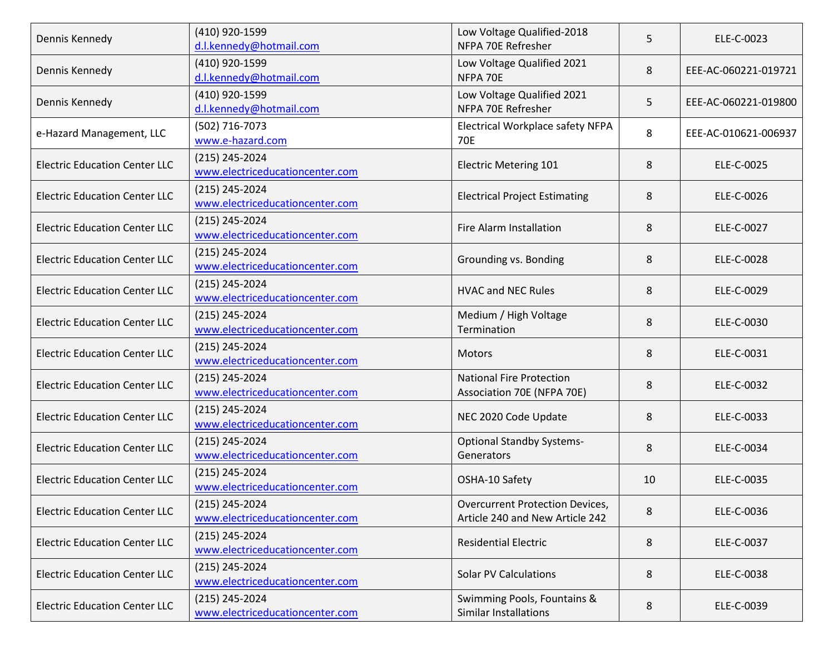| Dennis Kennedy                       | (410) 920-1599<br>d.l.kennedy@hotmail.com         | Low Voltage Qualified-2018<br>NFPA 70E Refresher                          | 5  | ELE-C-0023           |
|--------------------------------------|---------------------------------------------------|---------------------------------------------------------------------------|----|----------------------|
| Dennis Kennedy                       | (410) 920-1599<br>d.l.kennedy@hotmail.com         | Low Voltage Qualified 2021<br>NFPA 70E                                    | 8  | EEE-AC-060221-019721 |
| Dennis Kennedy                       | (410) 920-1599<br>d.l.kennedy@hotmail.com         | Low Voltage Qualified 2021<br>NFPA 70E Refresher                          | 5  | EEE-AC-060221-019800 |
| e-Hazard Management, LLC             | (502) 716-7073<br>www.e-hazard.com                | Electrical Workplace safety NFPA<br>70E                                   | 8  | EEE-AC-010621-006937 |
| <b>Electric Education Center LLC</b> | (215) 245-2024<br>www.electriceducationcenter.com | <b>Electric Metering 101</b>                                              | 8  | ELE-C-0025           |
| <b>Electric Education Center LLC</b> | (215) 245-2024<br>www.electriceducationcenter.com | <b>Electrical Project Estimating</b>                                      | 8  | ELE-C-0026           |
| <b>Electric Education Center LLC</b> | (215) 245-2024<br>www.electriceducationcenter.com | Fire Alarm Installation                                                   | 8  | ELE-C-0027           |
| <b>Electric Education Center LLC</b> | (215) 245-2024<br>www.electriceducationcenter.com | Grounding vs. Bonding                                                     | 8  | ELE-C-0028           |
| <b>Electric Education Center LLC</b> | (215) 245-2024<br>www.electriceducationcenter.com | <b>HVAC and NEC Rules</b>                                                 | 8  | ELE-C-0029           |
| <b>Electric Education Center LLC</b> | (215) 245-2024<br>www.electriceducationcenter.com | Medium / High Voltage<br>Termination                                      | 8  | ELE-C-0030           |
| <b>Electric Education Center LLC</b> | (215) 245-2024<br>www.electriceducationcenter.com | <b>Motors</b>                                                             | 8  | ELE-C-0031           |
| <b>Electric Education Center LLC</b> | (215) 245-2024<br>www.electriceducationcenter.com | <b>National Fire Protection</b><br>Association 70E (NFPA 70E)             | 8  | ELE-C-0032           |
| <b>Electric Education Center LLC</b> | (215) 245-2024<br>www.electriceducationcenter.com | NEC 2020 Code Update                                                      | 8  | ELE-C-0033           |
| <b>Electric Education Center LLC</b> | (215) 245-2024<br>www.electriceducationcenter.com | <b>Optional Standby Systems-</b><br>Generators                            | 8  | ELE-C-0034           |
| <b>Electric Education Center LLC</b> | (215) 245-2024<br>www.electriceducationcenter.com | OSHA-10 Safety                                                            | 10 | ELE-C-0035           |
| <b>Electric Education Center LLC</b> | (215) 245-2024<br>www.electriceducationcenter.com | <b>Overcurrent Protection Devices,</b><br>Article 240 and New Article 242 | 8  | ELE-C-0036           |
| <b>Electric Education Center LLC</b> | (215) 245-2024<br>www.electriceducationcenter.com | <b>Residential Electric</b>                                               | 8  | ELE-C-0037           |
| <b>Electric Education Center LLC</b> | (215) 245-2024<br>www.electriceducationcenter.com | <b>Solar PV Calculations</b>                                              | 8  | ELE-C-0038           |
| <b>Electric Education Center LLC</b> | (215) 245-2024<br>www.electriceducationcenter.com | Swimming Pools, Fountains &<br><b>Similar Installations</b>               | 8  | ELE-C-0039           |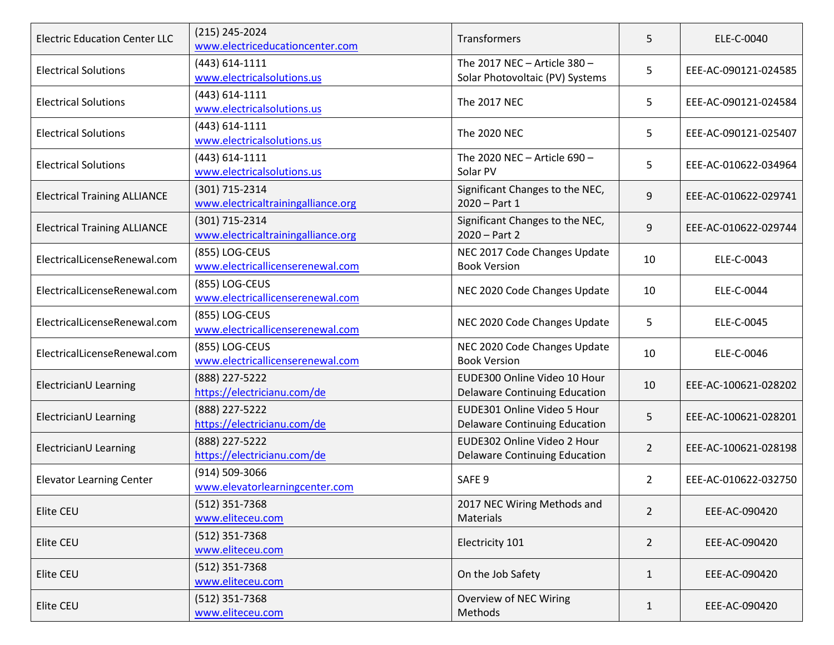| <b>Electric Education Center LLC</b> | (215) 245-2024<br>www.electriceducationcenter.com    | Transformers                                                         | 5              | ELE-C-0040           |
|--------------------------------------|------------------------------------------------------|----------------------------------------------------------------------|----------------|----------------------|
| <b>Electrical Solutions</b>          | (443) 614-1111<br>www.electricalsolutions.us         | The 2017 NEC - Article 380 -<br>Solar Photovoltaic (PV) Systems      | 5              | EEE-AC-090121-024585 |
| <b>Electrical Solutions</b>          | (443) 614-1111<br>www.electricalsolutions.us         | The 2017 NEC                                                         | 5              | EEE-AC-090121-024584 |
| <b>Electrical Solutions</b>          | $(443) 614 - 1111$<br>www.electricalsolutions.us     | The 2020 NEC                                                         | 5              | EEE-AC-090121-025407 |
| <b>Electrical Solutions</b>          | $(443) 614 - 1111$<br>www.electricalsolutions.us     | The 2020 NEC - Article 690 -<br>Solar PV                             | 5              | EEE-AC-010622-034964 |
| <b>Electrical Training ALLIANCE</b>  | (301) 715-2314<br>www.electricaltrainingalliance.org | Significant Changes to the NEC,<br>$2020 - Part 1$                   | 9              | EEE-AC-010622-029741 |
| <b>Electrical Training ALLIANCE</b>  | (301) 715-2314<br>www.electricaltrainingalliance.org | Significant Changes to the NEC,<br>$2020 - Part 2$                   | 9              | EEE-AC-010622-029744 |
| ElectricalLicenseRenewal.com         | (855) LOG-CEUS<br>www.electricallicenserenewal.com   | NEC 2017 Code Changes Update<br><b>Book Version</b>                  | 10             | ELE-C-0043           |
| ElectricalLicenseRenewal.com         | (855) LOG-CEUS<br>www.electricallicenserenewal.com   | NEC 2020 Code Changes Update                                         | 10             | ELE-C-0044           |
| ElectricalLicenseRenewal.com         | (855) LOG-CEUS<br>www.electricallicenserenewal.com   | NEC 2020 Code Changes Update                                         | 5              | ELE-C-0045           |
| ElectricalLicenseRenewal.com         | (855) LOG-CEUS<br>www.electricallicenserenewal.com   | NEC 2020 Code Changes Update<br><b>Book Version</b>                  | 10             | ELE-C-0046           |
| ElectricianU Learning                | (888) 227-5222<br>https://electricianu.com/de        | EUDE300 Online Video 10 Hour<br><b>Delaware Continuing Education</b> | 10             | EEE-AC-100621-028202 |
| ElectricianU Learning                | (888) 227-5222<br>https://electricianu.com/de        | EUDE301 Online Video 5 Hour<br><b>Delaware Continuing Education</b>  | 5              | EEE-AC-100621-028201 |
| ElectricianU Learning                | (888) 227-5222<br>https://electricianu.com/de        | EUDE302 Online Video 2 Hour<br><b>Delaware Continuing Education</b>  | $\overline{2}$ | EEE-AC-100621-028198 |
| <b>Elevator Learning Center</b>      | (914) 509-3066<br>www.elevatorlearningcenter.com     | SAFE <sub>9</sub>                                                    | $\overline{2}$ | EEE-AC-010622-032750 |
| Elite CEU                            | $(512)$ 351-7368<br>www.eliteceu.com                 | 2017 NEC Wiring Methods and<br>Materials                             | $\overline{2}$ | EEE-AC-090420        |
| Elite CEU                            | $(512)$ 351-7368<br>www.eliteceu.com                 | Electricity 101                                                      | $\overline{2}$ | EEE-AC-090420        |
| Elite CEU                            | $(512)$ 351-7368<br>www.eliteceu.com                 | On the Job Safety                                                    | $\mathbf{1}$   | EEE-AC-090420        |
| Elite CEU                            | $(512)$ 351-7368<br>www.eliteceu.com                 | Overview of NEC Wiring<br>Methods                                    | $\mathbf{1}$   | EEE-AC-090420        |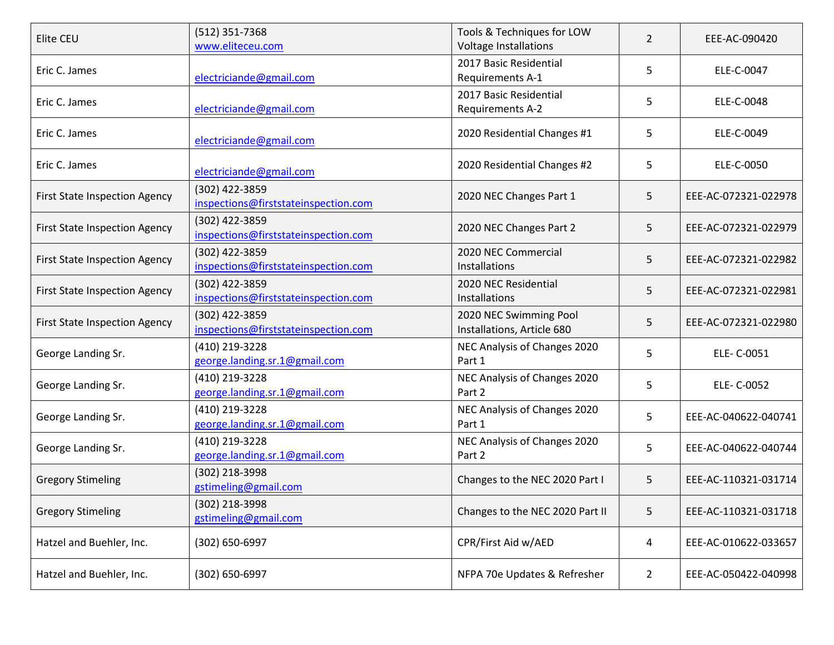| Elite CEU                            | (512) 351-7368<br>www.eliteceu.com                     | Tools & Techniques for LOW<br>Voltage Installations  | 2              | EEE-AC-090420        |
|--------------------------------------|--------------------------------------------------------|------------------------------------------------------|----------------|----------------------|
| Eric C. James                        | electriciande@gmail.com                                | 2017 Basic Residential<br>Requirements A-1           | 5              | ELE-C-0047           |
| Eric C. James                        | electriciande@gmail.com                                | 2017 Basic Residential<br><b>Requirements A-2</b>    | 5              | ELE-C-0048           |
| Eric C. James                        | electriciande@gmail.com                                | 2020 Residential Changes #1                          | 5              | ELE-C-0049           |
| Eric C. James                        | electriciande@gmail.com                                | 2020 Residential Changes #2                          | 5              | ELE-C-0050           |
| <b>First State Inspection Agency</b> | (302) 422-3859<br>inspections@firststateinspection.com | 2020 NEC Changes Part 1                              | 5              | EEE-AC-072321-022978 |
| <b>First State Inspection Agency</b> | (302) 422-3859<br>inspections@firststateinspection.com | 2020 NEC Changes Part 2                              | 5              | EEE-AC-072321-022979 |
| <b>First State Inspection Agency</b> | (302) 422-3859<br>inspections@firststateinspection.com | 2020 NEC Commercial<br>Installations                 | 5              | EEE-AC-072321-022982 |
| <b>First State Inspection Agency</b> | (302) 422-3859<br>inspections@firststateinspection.com | 2020 NEC Residential<br><b>Installations</b>         | 5              | EEE-AC-072321-022981 |
| <b>First State Inspection Agency</b> | (302) 422-3859<br>inspections@firststateinspection.com | 2020 NEC Swimming Pool<br>Installations, Article 680 | 5              | EEE-AC-072321-022980 |
| George Landing Sr.                   | (410) 219-3228<br>george.landing.sr.1@gmail.com        | NEC Analysis of Changes 2020<br>Part 1               | 5              | ELE- C-0051          |
| George Landing Sr.                   | (410) 219-3228<br>george.landing.sr.1@gmail.com        | NEC Analysis of Changes 2020<br>Part 2               | 5              | ELE- C-0052          |
| George Landing Sr.                   | (410) 219-3228<br>george.landing.sr.1@gmail.com        | NEC Analysis of Changes 2020<br>Part 1               | 5              | EEE-AC-040622-040741 |
| George Landing Sr.                   | (410) 219-3228<br>george.landing.sr.1@gmail.com        | NEC Analysis of Changes 2020<br>Part 2               | 5              | EEE-AC-040622-040744 |
| <b>Gregory Stimeling</b>             | (302) 218-3998<br>gstimeling@gmail.com                 | Changes to the NEC 2020 Part I                       | 5              | EEE-AC-110321-031714 |
| <b>Gregory Stimeling</b>             | (302) 218-3998<br>gstimeling@gmail.com                 | Changes to the NEC 2020 Part II                      | 5              | EEE-AC-110321-031718 |
| Hatzel and Buehler, Inc.             | (302) 650-6997                                         | CPR/First Aid w/AED                                  | 4              | EEE-AC-010622-033657 |
| Hatzel and Buehler, Inc.             | $(302) 650 - 6997$                                     | NFPA 70e Updates & Refresher                         | $\overline{2}$ | EEE-AC-050422-040998 |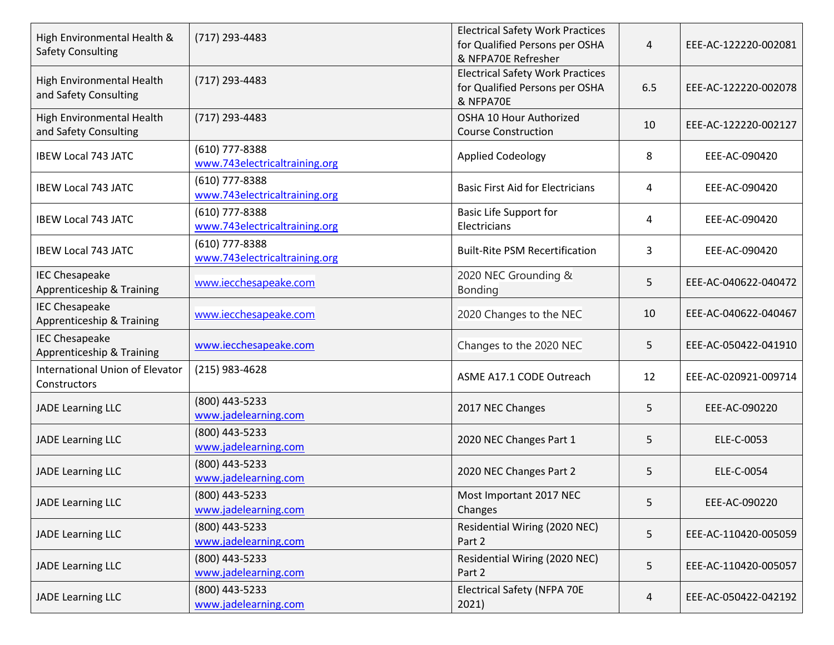| High Environmental Health &<br><b>Safety Consulting</b> | $(717)$ 293-4483                                  | <b>Electrical Safety Work Practices</b><br>for Qualified Persons per OSHA<br>& NFPA70E Refresher | 4   | EEE-AC-122220-002081 |
|---------------------------------------------------------|---------------------------------------------------|--------------------------------------------------------------------------------------------------|-----|----------------------|
| High Environmental Health<br>and Safety Consulting      | $(717)$ 293-4483                                  | <b>Electrical Safety Work Practices</b><br>for Qualified Persons per OSHA<br>& NFPA70E           | 6.5 | EEE-AC-122220-002078 |
| High Environmental Health<br>and Safety Consulting      | $(717)$ 293-4483                                  | OSHA 10 Hour Authorized<br><b>Course Construction</b>                                            | 10  | EEE-AC-122220-002127 |
| <b>IBEW Local 743 JATC</b>                              | $(610)$ 777-8388<br>www.743electricaltraining.org | <b>Applied Codeology</b>                                                                         | 8   | EEE-AC-090420        |
| <b>IBEW Local 743 JATC</b>                              | $(610)$ 777-8388<br>www.743electricaltraining.org | <b>Basic First Aid for Electricians</b>                                                          | 4   | EEE-AC-090420        |
| <b>IBEW Local 743 JATC</b>                              | (610) 777-8388<br>www.743electricaltraining.org   | <b>Basic Life Support for</b><br>Electricians                                                    | 4   | EEE-AC-090420        |
| <b>IBEW Local 743 JATC</b>                              | $(610)$ 777-8388<br>www.743electricaltraining.org | <b>Built-Rite PSM Recertification</b>                                                            | 3   | EEE-AC-090420        |
| <b>IEC Chesapeake</b><br>Apprenticeship & Training      | www.iecchesapeake.com                             | 2020 NEC Grounding &<br><b>Bonding</b>                                                           | 5   | EEE-AC-040622-040472 |
| <b>IEC Chesapeake</b><br>Apprenticeship & Training      | www.iecchesapeake.com                             | 2020 Changes to the NEC                                                                          | 10  | EEE-AC-040622-040467 |
| <b>IEC Chesapeake</b><br>Apprenticeship & Training      | www.iecchesapeake.com                             | Changes to the 2020 NEC                                                                          | 5   | EEE-AC-050422-041910 |
| <b>International Union of Elevator</b><br>Constructors  | $(215)$ 983-4628                                  | ASME A17.1 CODE Outreach                                                                         | 12  | EEE-AC-020921-009714 |
| <b>JADE Learning LLC</b>                                | (800) 443-5233<br>www.jadelearning.com            | 2017 NEC Changes                                                                                 | 5   | EEE-AC-090220        |
| <b>JADE Learning LLC</b>                                | (800) 443-5233<br>www.jadelearning.com            | 2020 NEC Changes Part 1                                                                          | 5   | ELE-C-0053           |
| <b>JADE Learning LLC</b>                                | (800) 443-5233<br>www.jadelearning.com            | 2020 NEC Changes Part 2                                                                          | 5   | ELE-C-0054           |
| <b>JADE Learning LLC</b>                                | (800) 443-5233<br>www.jadelearning.com            | Most Important 2017 NEC<br>Changes                                                               | 5   | EEE-AC-090220        |
| JADE Learning LLC                                       | (800) 443-5233<br>www.jadelearning.com            | Residential Wiring (2020 NEC)<br>Part 2                                                          | 5   | EEE-AC-110420-005059 |
| <b>JADE Learning LLC</b>                                | (800) 443-5233<br>www.jadelearning.com            | Residential Wiring (2020 NEC)<br>Part 2                                                          | 5   | EEE-AC-110420-005057 |
| JADE Learning LLC                                       | (800) 443-5233<br>www.jadelearning.com            | <b>Electrical Safety (NFPA 70E</b><br>2021)                                                      | 4   | EEE-AC-050422-042192 |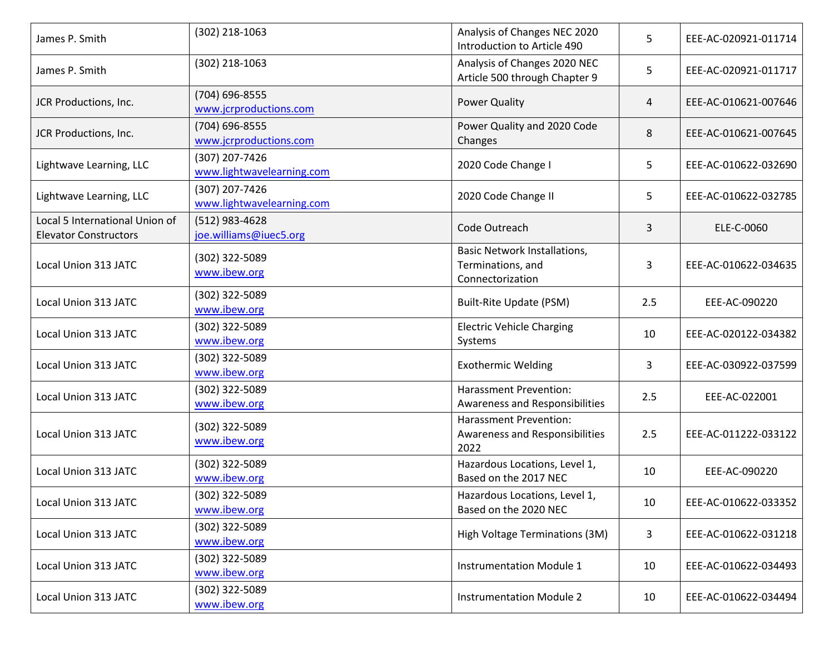| James P. Smith                                                 | (302) 218-1063                              | Analysis of Changes NEC 2020<br>Introduction to Article 490           | 5   | EEE-AC-020921-011714 |
|----------------------------------------------------------------|---------------------------------------------|-----------------------------------------------------------------------|-----|----------------------|
| James P. Smith                                                 | (302) 218-1063                              | Analysis of Changes 2020 NEC<br>Article 500 through Chapter 9         | 5   | EEE-AC-020921-011717 |
| JCR Productions, Inc.                                          | (704) 696-8555<br>www.jcrproductions.com    | <b>Power Quality</b>                                                  | 4   | EEE-AC-010621-007646 |
| JCR Productions, Inc.                                          | (704) 696-8555<br>www.jcrproductions.com    | Power Quality and 2020 Code<br>Changes                                | 8   | EEE-AC-010621-007645 |
| Lightwave Learning, LLC                                        | (307) 207-7426<br>www.lightwavelearning.com | 2020 Code Change I                                                    | 5   | EEE-AC-010622-032690 |
| Lightwave Learning, LLC                                        | (307) 207-7426<br>www.lightwavelearning.com | 2020 Code Change II                                                   | 5   | EEE-AC-010622-032785 |
| Local 5 International Union of<br><b>Elevator Constructors</b> | (512) 983-4628<br>joe.williams@iuec5.org    | Code Outreach                                                         | 3   | ELE-C-0060           |
| Local Union 313 JATC                                           | (302) 322-5089<br>www.ibew.org              | Basic Network Installations,<br>Terminations, and<br>Connectorization | 3   | EEE-AC-010622-034635 |
| Local Union 313 JATC                                           | (302) 322-5089<br>www.ibew.org              | <b>Built-Rite Update (PSM)</b>                                        | 2.5 | EEE-AC-090220        |
| Local Union 313 JATC                                           | (302) 322-5089<br>www.ibew.org              | <b>Electric Vehicle Charging</b><br>Systems                           | 10  | EEE-AC-020122-034382 |
| Local Union 313 JATC                                           | (302) 322-5089<br>www.ibew.org              | <b>Exothermic Welding</b>                                             | 3   | EEE-AC-030922-037599 |
| Local Union 313 JATC                                           | (302) 322-5089<br>www.ibew.org              | Harassment Prevention:<br>Awareness and Responsibilities              | 2.5 | EEE-AC-022001        |
| Local Union 313 JATC                                           | (302) 322-5089<br>www.ibew.org              | Harassment Prevention:<br>Awareness and Responsibilities<br>2022      | 2.5 | EEE-AC-011222-033122 |
| Local Union 313 JATC                                           | (302) 322-5089<br>www.ibew.org              | Hazardous Locations, Level 1,<br>Based on the 2017 NEC                | 10  | EEE-AC-090220        |
| Local Union 313 JATC                                           | (302) 322-5089<br>www.ibew.org              | Hazardous Locations, Level 1,<br>Based on the 2020 NEC                | 10  | EEE-AC-010622-033352 |
| Local Union 313 JATC                                           | (302) 322-5089<br>www.ibew.org              | High Voltage Terminations (3M)                                        | 3   | EEE-AC-010622-031218 |
| Local Union 313 JATC                                           | (302) 322-5089<br>www.ibew.org              | <b>Instrumentation Module 1</b>                                       | 10  | EEE-AC-010622-034493 |
| Local Union 313 JATC                                           | (302) 322-5089<br>www.ibew.org              | <b>Instrumentation Module 2</b>                                       | 10  | EEE-AC-010622-034494 |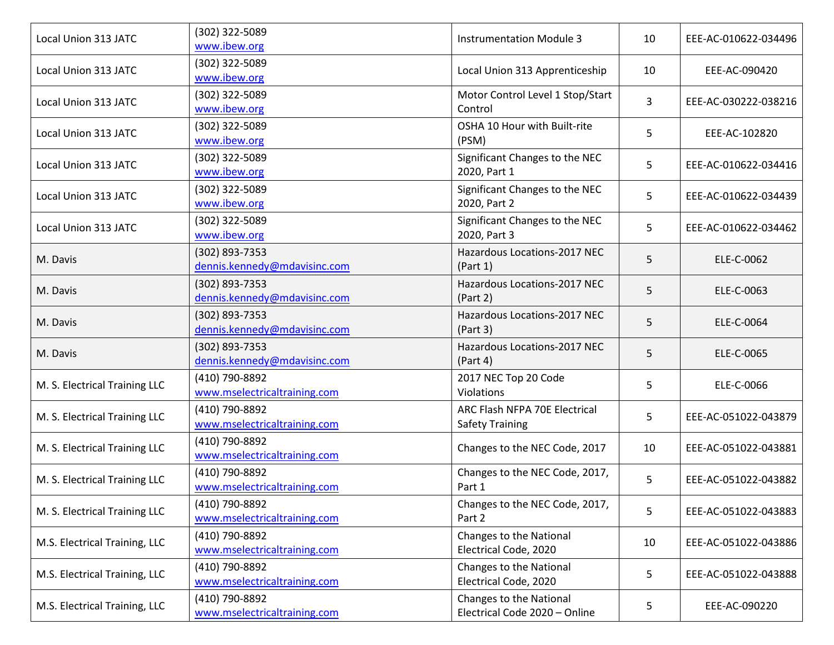| Local Union 313 JATC          | (302) 322-5089<br>www.ibew.org                 | <b>Instrumentation Module 3</b>                          | 10 | EEE-AC-010622-034496 |
|-------------------------------|------------------------------------------------|----------------------------------------------------------|----|----------------------|
| Local Union 313 JATC          | (302) 322-5089<br>www.ibew.org                 | Local Union 313 Apprenticeship                           | 10 | EEE-AC-090420        |
| Local Union 313 JATC          | (302) 322-5089<br>www.ibew.org                 | Motor Control Level 1 Stop/Start<br>Control              | 3  | EEE-AC-030222-038216 |
| Local Union 313 JATC          | (302) 322-5089<br>www.ibew.org                 | OSHA 10 Hour with Built-rite<br>(PSM)                    | 5  | EEE-AC-102820        |
| Local Union 313 JATC          | (302) 322-5089<br>www.ibew.org                 | Significant Changes to the NEC<br>2020, Part 1           | 5  | EEE-AC-010622-034416 |
| Local Union 313 JATC          | (302) 322-5089<br>www.ibew.org                 | Significant Changes to the NEC<br>2020, Part 2           | 5  | EEE-AC-010622-034439 |
| Local Union 313 JATC          | (302) 322-5089<br>www.ibew.org                 | Significant Changes to the NEC<br>2020, Part 3           | 5  | EEE-AC-010622-034462 |
| M. Davis                      | (302) 893-7353<br>dennis.kennedy@mdavisinc.com | Hazardous Locations-2017 NEC<br>(Part 1)                 | 5  | ELE-C-0062           |
| M. Davis                      | (302) 893-7353<br>dennis.kennedy@mdavisinc.com | Hazardous Locations-2017 NEC<br>(Part 2)                 | 5  | ELE-C-0063           |
| M. Davis                      | (302) 893-7353<br>dennis.kennedy@mdavisinc.com | Hazardous Locations-2017 NEC<br>(Part 3)                 | 5  | ELE-C-0064           |
| M. Davis                      | (302) 893-7353<br>dennis.kennedy@mdavisinc.com | Hazardous Locations-2017 NEC<br>(Part 4)                 | 5  | ELE-C-0065           |
| M. S. Electrical Training LLC | (410) 790-8892<br>www.mselectricaltraining.com | 2017 NEC Top 20 Code<br>Violations                       | 5  | ELE-C-0066           |
| M. S. Electrical Training LLC | (410) 790-8892<br>www.mselectricaltraining.com | ARC Flash NFPA 70E Electrical<br><b>Safety Training</b>  | 5  | EEE-AC-051022-043879 |
| M. S. Electrical Training LLC | (410) 790-8892<br>www.mselectricaltraining.com | Changes to the NEC Code, 2017                            | 10 | EEE-AC-051022-043881 |
| M. S. Electrical Training LLC | (410) 790-8892<br>www.mselectricaltraining.com | Changes to the NEC Code, 2017,<br>Part 1                 | 5  | EEE-AC-051022-043882 |
| M. S. Electrical Training LLC | (410) 790-8892<br>www.mselectricaltraining.com | Changes to the NEC Code, 2017,<br>Part 2                 | 5  | EEE-AC-051022-043883 |
| M.S. Electrical Training, LLC | (410) 790-8892<br>www.mselectricaltraining.com | Changes to the National<br>Electrical Code, 2020         | 10 | EEE-AC-051022-043886 |
| M.S. Electrical Training, LLC | (410) 790-8892<br>www.mselectricaltraining.com | Changes to the National<br>Electrical Code, 2020         | 5  | EEE-AC-051022-043888 |
| M.S. Electrical Training, LLC | (410) 790-8892<br>www.mselectricaltraining.com | Changes to the National<br>Electrical Code 2020 - Online | 5  | EEE-AC-090220        |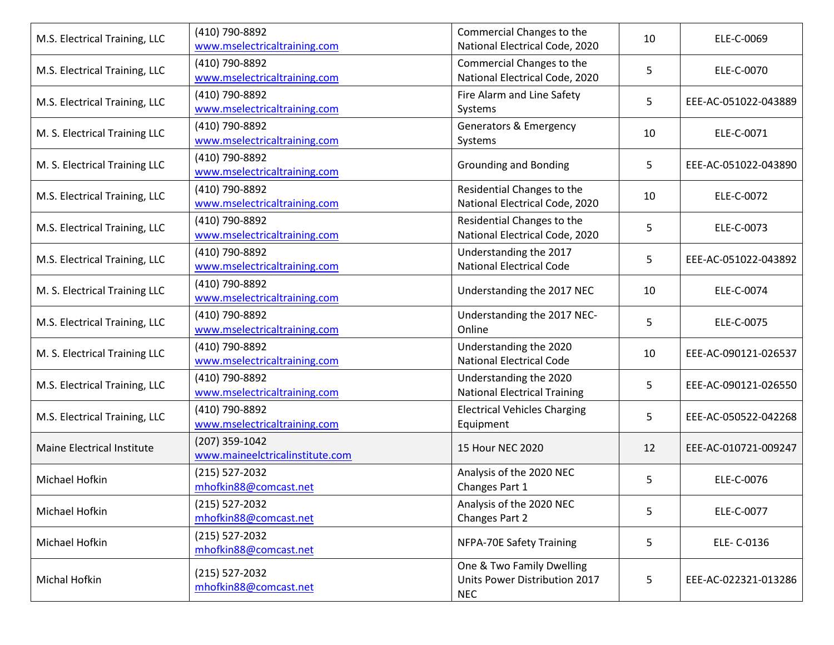| M.S. Electrical Training, LLC | (410) 790-8892<br>www.mselectricaltraining.com    | Commercial Changes to the<br>National Electrical Code, 2020              | 10 | ELE-C-0069           |
|-------------------------------|---------------------------------------------------|--------------------------------------------------------------------------|----|----------------------|
| M.S. Electrical Training, LLC | (410) 790-8892<br>www.mselectricaltraining.com    | Commercial Changes to the<br>National Electrical Code, 2020              | 5  | ELE-C-0070           |
| M.S. Electrical Training, LLC | (410) 790-8892<br>www.mselectricaltraining.com    | Fire Alarm and Line Safety<br>Systems                                    | 5  | EEE-AC-051022-043889 |
| M. S. Electrical Training LLC | (410) 790-8892<br>www.mselectricaltraining.com    | <b>Generators &amp; Emergency</b><br>Systems                             | 10 | ELE-C-0071           |
| M. S. Electrical Training LLC | (410) 790-8892<br>www.mselectricaltraining.com    | <b>Grounding and Bonding</b>                                             | 5  | EEE-AC-051022-043890 |
| M.S. Electrical Training, LLC | (410) 790-8892<br>www.mselectricaltraining.com    | Residential Changes to the<br>National Electrical Code, 2020             | 10 | ELE-C-0072           |
| M.S. Electrical Training, LLC | (410) 790-8892<br>www.mselectricaltraining.com    | Residential Changes to the<br>National Electrical Code, 2020             | 5  | ELE-C-0073           |
| M.S. Electrical Training, LLC | (410) 790-8892<br>www.mselectricaltraining.com    | Understanding the 2017<br><b>National Electrical Code</b>                | 5  | EEE-AC-051022-043892 |
| M. S. Electrical Training LLC | (410) 790-8892<br>www.mselectricaltraining.com    | Understanding the 2017 NEC                                               | 10 | ELE-C-0074           |
| M.S. Electrical Training, LLC | (410) 790-8892<br>www.mselectricaltraining.com    | Understanding the 2017 NEC-<br>Online                                    | 5  | ELE-C-0075           |
| M. S. Electrical Training LLC | (410) 790-8892<br>www.mselectricaltraining.com    | Understanding the 2020<br><b>National Electrical Code</b>                | 10 | EEE-AC-090121-026537 |
| M.S. Electrical Training, LLC | (410) 790-8892<br>www.mselectricaltraining.com    | Understanding the 2020<br><b>National Electrical Training</b>            | 5  | EEE-AC-090121-026550 |
| M.S. Electrical Training, LLC | (410) 790-8892<br>www.mselectricaltraining.com    | <b>Electrical Vehicles Charging</b><br>Equipment                         | 5  | EEE-AC-050522-042268 |
| Maine Electrical Institute    | (207) 359-1042<br>www.maineelctricalinstitute.com | 15 Hour NEC 2020                                                         | 12 | EEE-AC-010721-009247 |
| Michael Hofkin                | $(215) 527 - 2032$<br>mhofkin88@comcast.net       | Analysis of the 2020 NEC<br>Changes Part 1                               | 5  | ELE-C-0076           |
| Michael Hofkin                | $(215) 527 - 2032$<br>mhofkin88@comcast.net       | Analysis of the 2020 NEC<br>Changes Part 2                               | 5  | ELE-C-0077           |
| Michael Hofkin                | $(215)$ 527-2032<br>mhofkin88@comcast.net         | <b>NFPA-70E Safety Training</b>                                          | 5  | ELE- C-0136          |
| Michal Hofkin                 | $(215)$ 527-2032<br>mhofkin88@comcast.net         | One & Two Family Dwelling<br>Units Power Distribution 2017<br><b>NEC</b> | 5  | EEE-AC-022321-013286 |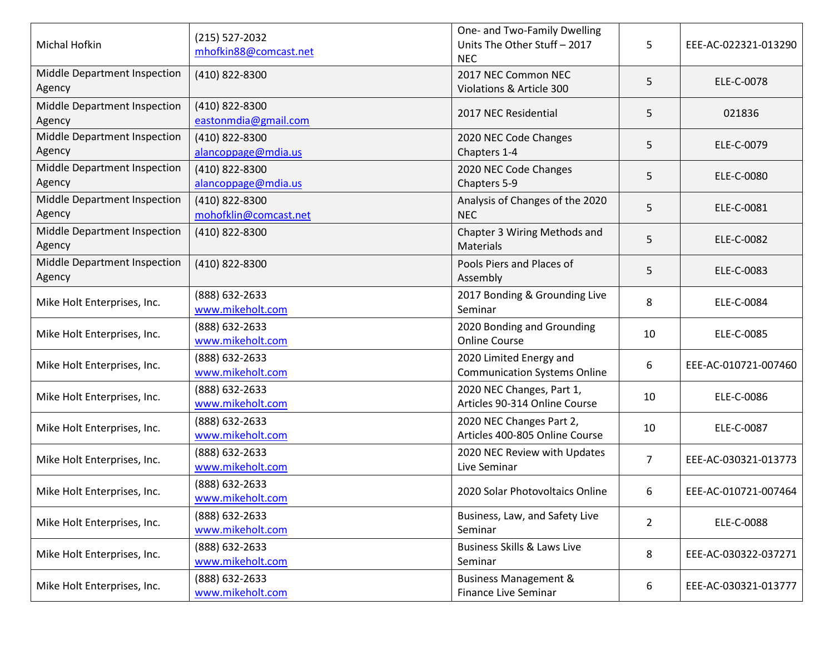| Michal Hofkin                          | $(215) 527 - 2032$<br>mhofkin88@comcast.net | One- and Two-Family Dwelling<br>Units The Other Stuff - 2017<br><b>NEC</b> | 5              | EEE-AC-022321-013290 |
|----------------------------------------|---------------------------------------------|----------------------------------------------------------------------------|----------------|----------------------|
| Middle Department Inspection<br>Agency | (410) 822-8300                              | 2017 NEC Common NEC<br>Violations & Article 300                            | 5              | ELE-C-0078           |
| Middle Department Inspection<br>Agency | (410) 822-8300<br>eastonmdia@gmail.com      | 2017 NEC Residential                                                       | 5              | 021836               |
| Middle Department Inspection<br>Agency | (410) 822-8300<br>alancoppage@mdia.us       | 2020 NEC Code Changes<br>Chapters 1-4                                      | 5              | ELE-C-0079           |
| Middle Department Inspection<br>Agency | (410) 822-8300<br>alancoppage@mdia.us       | 2020 NEC Code Changes<br>Chapters 5-9                                      | 5              | ELE-C-0080           |
| Middle Department Inspection<br>Agency | (410) 822-8300<br>mohofklin@comcast.net     | Analysis of Changes of the 2020<br><b>NEC</b>                              | 5              | ELE-C-0081           |
| Middle Department Inspection<br>Agency | (410) 822-8300                              | Chapter 3 Wiring Methods and<br><b>Materials</b>                           | 5              | ELE-C-0082           |
| Middle Department Inspection<br>Agency | (410) 822-8300                              | Pools Piers and Places of<br>Assembly                                      | 5              | ELE-C-0083           |
| Mike Holt Enterprises, Inc.            | (888) 632-2633<br>www.mikeholt.com          | 2017 Bonding & Grounding Live<br>Seminar                                   | 8              | ELE-C-0084           |
| Mike Holt Enterprises, Inc.            | (888) 632-2633<br>www.mikeholt.com          | 2020 Bonding and Grounding<br><b>Online Course</b>                         | 10             | ELE-C-0085           |
| Mike Holt Enterprises, Inc.            | (888) 632-2633<br>www.mikeholt.com          | 2020 Limited Energy and<br><b>Communication Systems Online</b>             | 6              | EEE-AC-010721-007460 |
| Mike Holt Enterprises, Inc.            | (888) 632-2633<br>www.mikeholt.com          | 2020 NEC Changes, Part 1,<br>Articles 90-314 Online Course                 | 10             | ELE-C-0086           |
| Mike Holt Enterprises, Inc.            | (888) 632-2633<br>www.mikeholt.com          | 2020 NEC Changes Part 2,<br>Articles 400-805 Online Course                 | 10             | ELE-C-0087           |
| Mike Holt Enterprises, Inc.            | (888) 632-2633<br>www.mikeholt.com          | 2020 NEC Review with Updates<br>Live Seminar                               | $\overline{7}$ | EEE-AC-030321-013773 |
| Mike Holt Enterprises, Inc.            | (888) 632-2633<br>www.mikeholt.com          | 2020 Solar Photovoltaics Online                                            | 6              | EEE-AC-010721-007464 |
| Mike Holt Enterprises, Inc.            | (888) 632-2633<br>www.mikeholt.com          | Business, Law, and Safety Live<br>Seminar                                  | $\overline{2}$ | ELE-C-0088           |
| Mike Holt Enterprises, Inc.            | (888) 632-2633<br>www.mikeholt.com          | <b>Business Skills &amp; Laws Live</b><br>Seminar                          | 8              | EEE-AC-030322-037271 |
| Mike Holt Enterprises, Inc.            | (888) 632-2633<br>www.mikeholt.com          | <b>Business Management &amp;</b><br>Finance Live Seminar                   | 6              | EEE-AC-030321-013777 |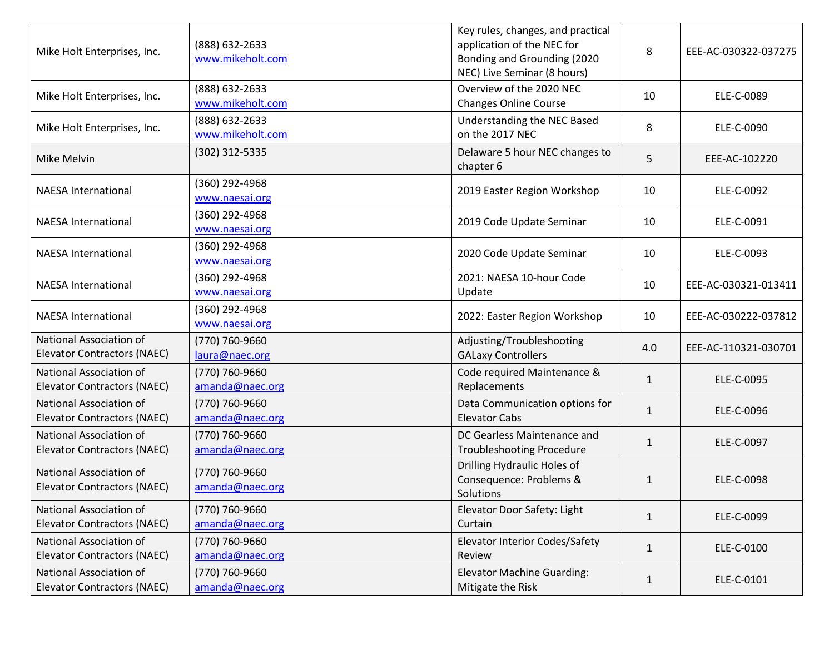| Mike Holt Enterprises, Inc.                                   | (888) 632-2633<br>www.mikeholt.com | Key rules, changes, and practical<br>application of the NEC for<br>Bonding and Grounding (2020<br>NEC) Live Seminar (8 hours) | 8            | EEE-AC-030322-037275 |
|---------------------------------------------------------------|------------------------------------|-------------------------------------------------------------------------------------------------------------------------------|--------------|----------------------|
| Mike Holt Enterprises, Inc.                                   | (888) 632-2633<br>www.mikeholt.com | Overview of the 2020 NEC<br><b>Changes Online Course</b>                                                                      | 10           | ELE-C-0089           |
| Mike Holt Enterprises, Inc.                                   | (888) 632-2633<br>www.mikeholt.com | Understanding the NEC Based<br>on the 2017 NEC                                                                                | 8            | ELE-C-0090           |
| Mike Melvin                                                   | (302) 312-5335                     | Delaware 5 hour NEC changes to<br>chapter 6                                                                                   | 5            | EEE-AC-102220        |
| <b>NAESA International</b>                                    | (360) 292-4968<br>www.naesai.org   | 2019 Easter Region Workshop                                                                                                   | 10           | ELE-C-0092           |
| <b>NAESA International</b>                                    | (360) 292-4968<br>www.naesai.org   | 2019 Code Update Seminar                                                                                                      | 10           | ELE-C-0091           |
| <b>NAESA International</b>                                    | (360) 292-4968<br>www.naesai.org   | 2020 Code Update Seminar                                                                                                      | 10           | ELE-C-0093           |
| <b>NAESA International</b>                                    | (360) 292-4968<br>www.naesai.org   | 2021: NAESA 10-hour Code<br>Update                                                                                            | 10           | EEE-AC-030321-013411 |
| <b>NAESA International</b>                                    | (360) 292-4968<br>www.naesai.org   | 2022: Easter Region Workshop                                                                                                  | 10           | EEE-AC-030222-037812 |
| National Association of<br><b>Elevator Contractors (NAEC)</b> | (770) 760-9660<br>laura@naec.org   | Adjusting/Troubleshooting<br><b>GALaxy Controllers</b>                                                                        | 4.0          | EEE-AC-110321-030701 |
| National Association of<br><b>Elevator Contractors (NAEC)</b> | (770) 760-9660<br>amanda@naec.org  | Code required Maintenance &<br>Replacements                                                                                   | $\mathbf{1}$ | ELE-C-0095           |
| National Association of<br><b>Elevator Contractors (NAEC)</b> | (770) 760-9660<br>amanda@naec.org  | Data Communication options for<br><b>Elevator Cabs</b>                                                                        | $\mathbf{1}$ | ELE-C-0096           |
| National Association of<br><b>Elevator Contractors (NAEC)</b> | (770) 760-9660<br>amanda@naec.org  | DC Gearless Maintenance and<br><b>Troubleshooting Procedure</b>                                                               | $\mathbf{1}$ | ELE-C-0097           |
| National Association of<br><b>Elevator Contractors (NAEC)</b> | (770) 760-9660<br>amanda@naec.org  | Drilling Hydraulic Holes of<br>Consequence: Problems &<br>Solutions                                                           | $\mathbf{1}$ | ELE-C-0098           |
| National Association of<br><b>Elevator Contractors (NAEC)</b> | (770) 760-9660<br>amanda@naec.org  | Elevator Door Safety: Light<br>Curtain                                                                                        | $\mathbf{1}$ | ELE-C-0099           |
| National Association of<br><b>Elevator Contractors (NAEC)</b> | (770) 760-9660<br>amanda@naec.org  | <b>Elevator Interior Codes/Safety</b><br>Review                                                                               | $\mathbf{1}$ | ELE-C-0100           |
| National Association of<br><b>Elevator Contractors (NAEC)</b> | (770) 760-9660<br>amanda@naec.org  | <b>Elevator Machine Guarding:</b><br>Mitigate the Risk                                                                        | $\mathbf{1}$ | ELE-C-0101           |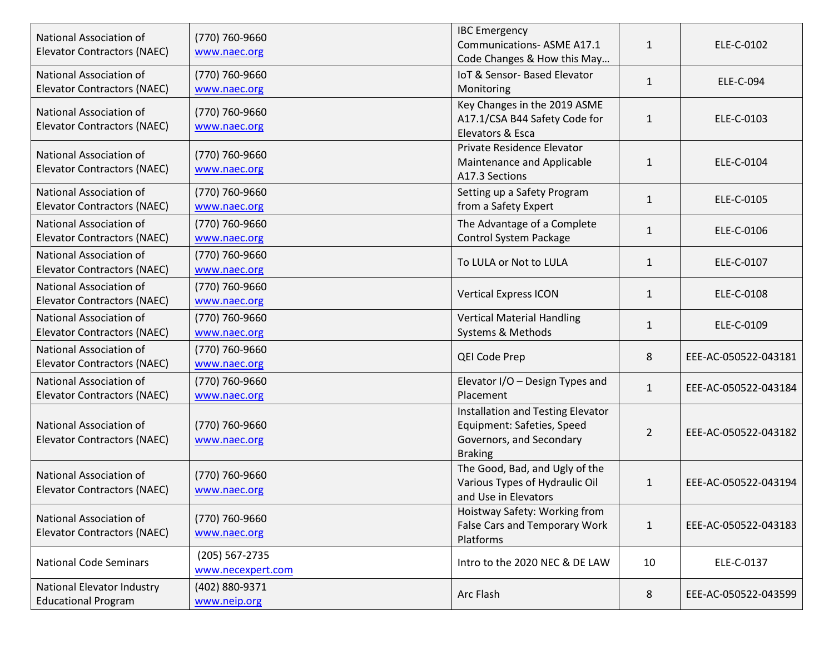| National Association of<br><b>Elevator Contractors (NAEC)</b> | (770) 760-9660<br>www.naec.org      | <b>IBC</b> Emergency<br><b>Communications- ASME A17.1</b><br>Code Changes & How this May                      | $\mathbf{1}$   | ELE-C-0102           |
|---------------------------------------------------------------|-------------------------------------|---------------------------------------------------------------------------------------------------------------|----------------|----------------------|
| National Association of<br><b>Elevator Contractors (NAEC)</b> | (770) 760-9660<br>www.naec.org      | IoT & Sensor- Based Elevator<br>Monitoring                                                                    | $\mathbf{1}$   | ELE-C-094            |
| National Association of<br><b>Elevator Contractors (NAEC)</b> | (770) 760-9660<br>www.naec.org      | Key Changes in the 2019 ASME<br>A17.1/CSA B44 Safety Code for<br>Elevators & Esca                             | 1              | ELE-C-0103           |
| National Association of<br><b>Elevator Contractors (NAEC)</b> | (770) 760-9660<br>www.naec.org      | Private Residence Elevator<br>Maintenance and Applicable<br>A17.3 Sections                                    | 1              | ELE-C-0104           |
| National Association of<br><b>Elevator Contractors (NAEC)</b> | (770) 760-9660<br>www.naec.org      | Setting up a Safety Program<br>from a Safety Expert                                                           | $\mathbf{1}$   | ELE-C-0105           |
| National Association of<br><b>Elevator Contractors (NAEC)</b> | (770) 760-9660<br>www.naec.org      | The Advantage of a Complete<br><b>Control System Package</b>                                                  | $\mathbf{1}$   | ELE-C-0106           |
| National Association of<br><b>Elevator Contractors (NAEC)</b> | (770) 760-9660<br>www.naec.org      | To LULA or Not to LULA                                                                                        | $\mathbf{1}$   | ELE-C-0107           |
| National Association of<br><b>Elevator Contractors (NAEC)</b> | (770) 760-9660<br>www.naec.org      | <b>Vertical Express ICON</b>                                                                                  | 1              | ELE-C-0108           |
| National Association of<br><b>Elevator Contractors (NAEC)</b> | (770) 760-9660<br>www.naec.org      | <b>Vertical Material Handling</b><br>Systems & Methods                                                        | $\mathbf{1}$   | ELE-C-0109           |
| National Association of<br><b>Elevator Contractors (NAEC)</b> | (770) 760-9660<br>www.naec.org      | QEI Code Prep                                                                                                 | 8              | EEE-AC-050522-043181 |
| National Association of<br><b>Elevator Contractors (NAEC)</b> | (770) 760-9660<br>www.naec.org      | Elevator I/O - Design Types and<br>Placement                                                                  | $\mathbf{1}$   | EEE-AC-050522-043184 |
| National Association of<br><b>Elevator Contractors (NAEC)</b> | (770) 760-9660<br>www.naec.org      | Installation and Testing Elevator<br>Equipment: Safeties, Speed<br>Governors, and Secondary<br><b>Braking</b> | $\overline{2}$ | EEE-AC-050522-043182 |
| National Association of<br><b>Elevator Contractors (NAEC)</b> | (770) 760-9660<br>www.naec.org      | The Good, Bad, and Ugly of the<br>Various Types of Hydraulic Oil<br>and Use in Elevators                      | $\mathbf{1}$   | EEE-AC-050522-043194 |
| National Association of<br><b>Elevator Contractors (NAEC)</b> | (770) 760-9660<br>www.naec.org      | Hoistway Safety: Working from<br>False Cars and Temporary Work<br>Platforms                                   | $\mathbf{1}$   | EEE-AC-050522-043183 |
| <b>National Code Seminars</b>                                 | (205) 567-2735<br>www.necexpert.com | Intro to the 2020 NEC & DE LAW                                                                                | 10             | ELE-C-0137           |
| National Elevator Industry<br><b>Educational Program</b>      | (402) 880-9371<br>www.neip.org      | Arc Flash                                                                                                     | 8              | EEE-AC-050522-043599 |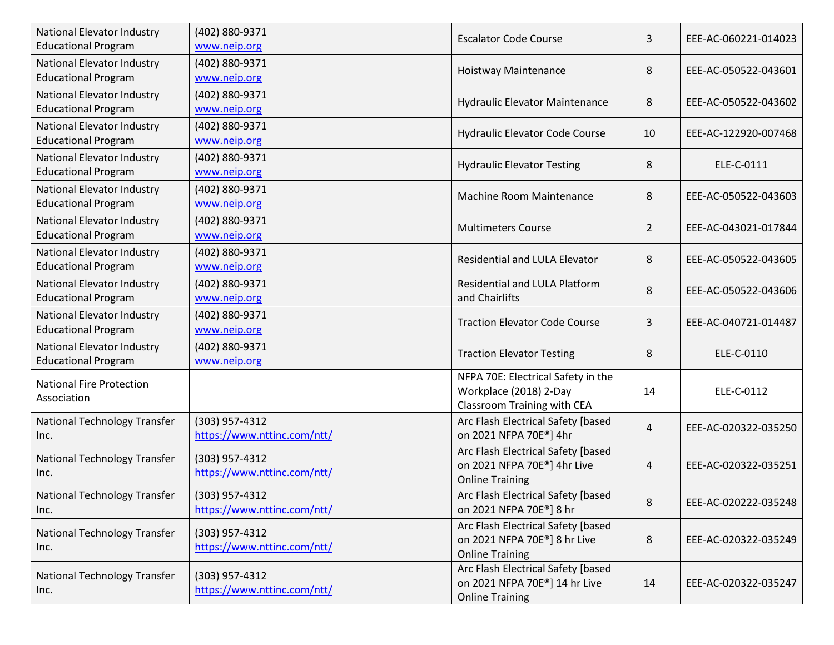| National Elevator Industry<br><b>Educational Program</b>        | (402) 880-9371<br>www.neip.org                | <b>Escalator Code Course</b>                                                                               | 3              | EEE-AC-060221-014023 |
|-----------------------------------------------------------------|-----------------------------------------------|------------------------------------------------------------------------------------------------------------|----------------|----------------------|
| National Elevator Industry<br><b>Educational Program</b>        | (402) 880-9371<br>www.neip.org                | Hoistway Maintenance                                                                                       | 8              | EEE-AC-050522-043601 |
| National Elevator Industry<br><b>Educational Program</b>        | (402) 880-9371<br>www.neip.org                | <b>Hydraulic Elevator Maintenance</b>                                                                      | 8              | EEE-AC-050522-043602 |
| <b>National Elevator Industry</b><br><b>Educational Program</b> | (402) 880-9371<br>www.neip.org                | Hydraulic Elevator Code Course                                                                             | 10             | EEE-AC-122920-007468 |
| National Elevator Industry<br><b>Educational Program</b>        | (402) 880-9371<br>www.neip.org                | <b>Hydraulic Elevator Testing</b>                                                                          | 8              | ELE-C-0111           |
| <b>National Elevator Industry</b><br><b>Educational Program</b> | (402) 880-9371<br>www.neip.org                | Machine Room Maintenance                                                                                   | 8              | EEE-AC-050522-043603 |
| National Elevator Industry<br><b>Educational Program</b>        | (402) 880-9371<br>www.neip.org                | <b>Multimeters Course</b>                                                                                  | $\overline{2}$ | EEE-AC-043021-017844 |
| <b>National Elevator Industry</b><br><b>Educational Program</b> | (402) 880-9371<br>www.neip.org                | Residential and LULA Elevator                                                                              | 8              | EEE-AC-050522-043605 |
| National Elevator Industry<br><b>Educational Program</b>        | (402) 880-9371<br>www.neip.org                | Residential and LULA Platform<br>and Chairlifts                                                            | 8              | EEE-AC-050522-043606 |
| <b>National Elevator Industry</b><br><b>Educational Program</b> | (402) 880-9371<br>www.neip.org                | <b>Traction Elevator Code Course</b>                                                                       | 3              | EEE-AC-040721-014487 |
| National Elevator Industry<br><b>Educational Program</b>        | (402) 880-9371<br>www.neip.org                | <b>Traction Elevator Testing</b>                                                                           | 8              | ELE-C-0110           |
| <b>National Fire Protection</b><br>Association                  |                                               | NFPA 70E: Electrical Safety in the<br>Workplace (2018) 2-Day<br>Classroom Training with CEA                | 14             | ELE-C-0112           |
| National Technology Transfer<br>Inc.                            | (303) 957-4312<br>https://www.nttinc.com/ntt/ | Arc Flash Electrical Safety [based<br>on 2021 NFPA 70E®] 4hr                                               | 4              | EEE-AC-020322-035250 |
| National Technology Transfer<br>Inc.                            | (303) 957-4312<br>https://www.nttinc.com/ntt/ | Arc Flash Electrical Safety [based<br>on 2021 NFPA 70E®] 4hr Live<br><b>Online Training</b>                | 4              | EEE-AC-020322-035251 |
| National Technology Transfer<br>Inc.                            | (303) 957-4312<br>https://www.nttinc.com/ntt/ | Arc Flash Electrical Safety [based<br>on 2021 NFPA 70E®] 8 hr                                              | 8              | EEE-AC-020222-035248 |
| <b>National Technology Transfer</b><br>Inc.                     | (303) 957-4312<br>https://www.nttinc.com/ntt/ | Arc Flash Electrical Safety [based<br>on 2021 NFPA 70E <sup>®</sup> ] 8 hr Live<br><b>Online Training</b>  | 8              | EEE-AC-020322-035249 |
| <b>National Technology Transfer</b><br>Inc.                     | (303) 957-4312<br>https://www.nttinc.com/ntt/ | Arc Flash Electrical Safety [based<br>on 2021 NFPA 70E <sup>®</sup> ] 14 hr Live<br><b>Online Training</b> | 14             | EEE-AC-020322-035247 |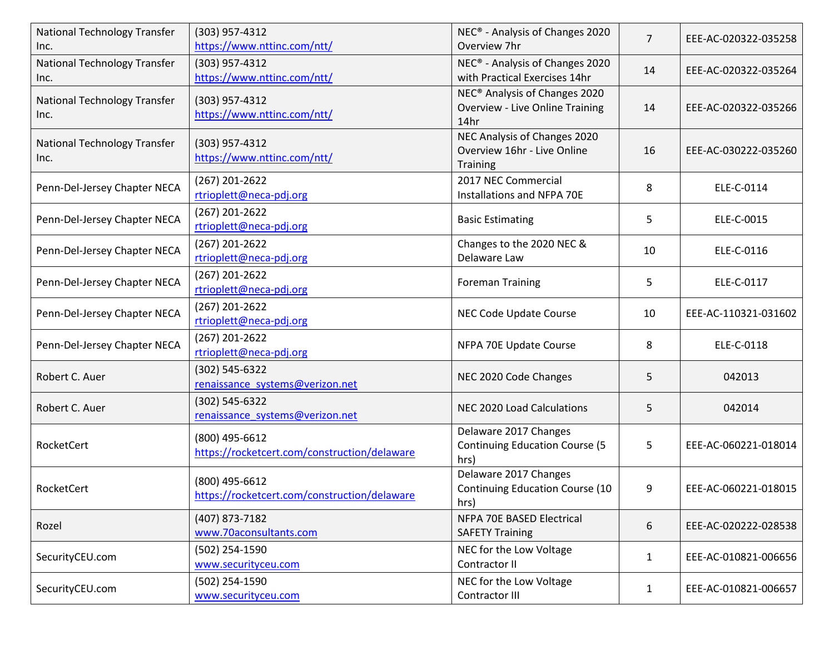| National Technology Transfer<br>Inc. | (303) 957-4312<br>https://www.nttinc.com/ntt/                  | NEC <sup>®</sup> - Analysis of Changes 2020<br>Overview 7hr                                 | $\overline{7}$ | EEE-AC-020322-035258 |
|--------------------------------------|----------------------------------------------------------------|---------------------------------------------------------------------------------------------|----------------|----------------------|
| National Technology Transfer<br>Inc. | (303) 957-4312<br>https://www.nttinc.com/ntt/                  | NEC® - Analysis of Changes 2020<br>with Practical Exercises 14hr                            | 14             | EEE-AC-020322-035264 |
| National Technology Transfer<br>Inc. | (303) 957-4312<br>https://www.nttinc.com/ntt/                  | NEC <sup>®</sup> Analysis of Changes 2020<br><b>Overview - Live Online Training</b><br>14hr | 14             | EEE-AC-020322-035266 |
| National Technology Transfer<br>Inc. | (303) 957-4312<br>https://www.nttinc.com/ntt/                  | NEC Analysis of Changes 2020<br>Overview 16hr - Live Online<br><b>Training</b>              | 16             | EEE-AC-030222-035260 |
| Penn-Del-Jersey Chapter NECA         | (267) 201-2622<br>rtrioplett@neca-pdj.org                      | 2017 NEC Commercial<br>Installations and NFPA 70E                                           | 8              | ELE-C-0114           |
| Penn-Del-Jersey Chapter NECA         | (267) 201-2622<br>rtrioplett@neca-pdj.org                      | <b>Basic Estimating</b>                                                                     | 5              | ELE-C-0015           |
| Penn-Del-Jersey Chapter NECA         | (267) 201-2622<br>rtrioplett@neca-pdj.org                      | Changes to the 2020 NEC &<br>Delaware Law                                                   | 10             | ELE-C-0116           |
| Penn-Del-Jersey Chapter NECA         | (267) 201-2622<br>rtrioplett@neca-pdj.org                      | <b>Foreman Training</b>                                                                     | 5              | ELE-C-0117           |
| Penn-Del-Jersey Chapter NECA         | (267) 201-2622<br>rtrioplett@neca-pdj.org                      | NEC Code Update Course                                                                      | 10             | EEE-AC-110321-031602 |
| Penn-Del-Jersey Chapter NECA         | (267) 201-2622<br>rtrioplett@neca-pdj.org                      | NFPA 70E Update Course                                                                      | 8              | ELE-C-0118           |
| Robert C. Auer                       | (302) 545-6322<br>renaissance_systems@verizon.net              | NEC 2020 Code Changes                                                                       | 5              | 042013               |
| Robert C. Auer                       | (302) 545-6322<br>renaissance systems@verizon.net              | NEC 2020 Load Calculations                                                                  | 5              | 042014               |
| RocketCert                           | (800) 495-6612<br>https://rocketcert.com/construction/delaware | Delaware 2017 Changes<br><b>Continuing Education Course (5</b><br>hrs)                      | 5              | EEE-AC-060221-018014 |
| RocketCert                           | (800) 495-6612<br>https://rocketcert.com/construction/delaware | Delaware 2017 Changes<br>Continuing Education Course (10<br>hrs)                            | 9              | EEE-AC-060221-018015 |
| Rozel                                | (407) 873-7182<br>www.70aconsultants.com                       | NFPA 70E BASED Electrical<br><b>SAFETY Training</b>                                         | 6              | EEE-AC-020222-028538 |
| SecurityCEU.com                      | (502) 254-1590<br>www.securityceu.com                          | NEC for the Low Voltage<br>Contractor II                                                    | $\mathbf{1}$   | EEE-AC-010821-006656 |
| SecurityCEU.com                      | (502) 254-1590<br>www.securityceu.com                          | NEC for the Low Voltage<br>Contractor III                                                   | 1              | EEE-AC-010821-006657 |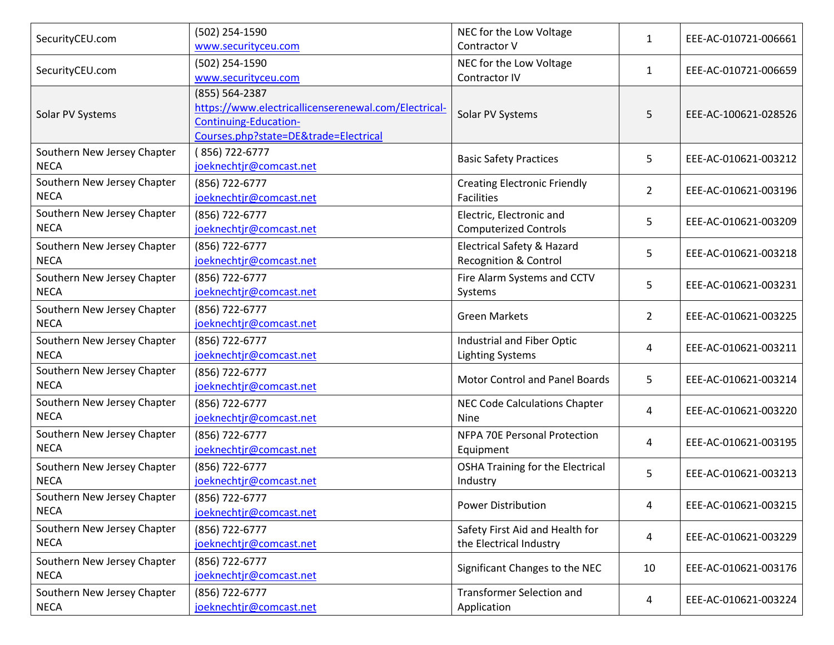| SecurityCEU.com                            | (502) 254-1590<br>www.securityceu.com                                                                                               | NEC for the Low Voltage<br>Contractor V                        | 1              | EEE-AC-010721-006661 |
|--------------------------------------------|-------------------------------------------------------------------------------------------------------------------------------------|----------------------------------------------------------------|----------------|----------------------|
| SecurityCEU.com                            | (502) 254-1590<br>www.securityceu.com                                                                                               | NEC for the Low Voltage<br>Contractor IV                       | 1              | EEE-AC-010721-006659 |
| Solar PV Systems                           | (855) 564-2387<br>https://www.electricallicenserenewal.com/Electrical-<br>Continuing-Education-<br>Courses.php?state=DE™=Electrical | Solar PV Systems                                               | 5              | EEE-AC-100621-028526 |
| Southern New Jersey Chapter<br><b>NECA</b> | (856) 722-6777<br>joeknechtjr@comcast.net                                                                                           | <b>Basic Safety Practices</b>                                  | 5              | EEE-AC-010621-003212 |
| Southern New Jersey Chapter<br><b>NECA</b> | (856) 722-6777<br>joeknechtjr@comcast.net                                                                                           | <b>Creating Electronic Friendly</b><br><b>Facilities</b>       | $\overline{2}$ | EEE-AC-010621-003196 |
| Southern New Jersey Chapter<br><b>NECA</b> | (856) 722-6777<br>joeknechtjr@comcast.net                                                                                           | Electric, Electronic and<br><b>Computerized Controls</b>       | 5              | EEE-AC-010621-003209 |
| Southern New Jersey Chapter<br><b>NECA</b> | (856) 722-6777<br>joeknechtjr@comcast.net                                                                                           | <b>Electrical Safety &amp; Hazard</b><br>Recognition & Control | 5              | EEE-AC-010621-003218 |
| Southern New Jersey Chapter<br><b>NECA</b> | (856) 722-6777<br>joeknechtjr@comcast.net                                                                                           | Fire Alarm Systems and CCTV<br>Systems                         | 5              | EEE-AC-010621-003231 |
| Southern New Jersey Chapter<br><b>NECA</b> | (856) 722-6777<br>joeknechtjr@comcast.net                                                                                           | <b>Green Markets</b>                                           | $\overline{2}$ | EEE-AC-010621-003225 |
| Southern New Jersey Chapter<br><b>NECA</b> | (856) 722-6777<br>joeknechtjr@comcast.net                                                                                           | Industrial and Fiber Optic<br><b>Lighting Systems</b>          | 4              | EEE-AC-010621-003211 |
| Southern New Jersey Chapter<br><b>NECA</b> | (856) 722-6777<br>joeknechtjr@comcast.net                                                                                           | <b>Motor Control and Panel Boards</b>                          | 5              | EEE-AC-010621-003214 |
| Southern New Jersey Chapter<br><b>NECA</b> | (856) 722-6777<br>joeknechtjr@comcast.net                                                                                           | NEC Code Calculations Chapter<br>Nine                          | 4              | EEE-AC-010621-003220 |
| Southern New Jersey Chapter<br><b>NECA</b> | (856) 722-6777<br>joeknechtjr@comcast.net                                                                                           | NFPA 70E Personal Protection<br>Equipment                      | 4              | EEE-AC-010621-003195 |
| Southern New Jersey Chapter<br><b>NECA</b> | (856) 722-6777<br>joeknechtjr@comcast.net                                                                                           | <b>OSHA Training for the Electrical</b><br>Industry            | 5              | EEE-AC-010621-003213 |
| Southern New Jersey Chapter<br><b>NECA</b> | (856) 722-6777<br>joeknechtjr@comcast.net                                                                                           | <b>Power Distribution</b>                                      | 4              | EEE-AC-010621-003215 |
| Southern New Jersey Chapter<br><b>NECA</b> | (856) 722-6777<br>joeknechtjr@comcast.net                                                                                           | Safety First Aid and Health for<br>the Electrical Industry     | 4              | EEE-AC-010621-003229 |
| Southern New Jersey Chapter<br><b>NECA</b> | (856) 722-6777<br>joeknechtjr@comcast.net                                                                                           | Significant Changes to the NEC                                 | 10             | EEE-AC-010621-003176 |
| Southern New Jersey Chapter<br><b>NECA</b> | (856) 722-6777<br>joeknechtjr@comcast.net                                                                                           | <b>Transformer Selection and</b><br>Application                | 4              | EEE-AC-010621-003224 |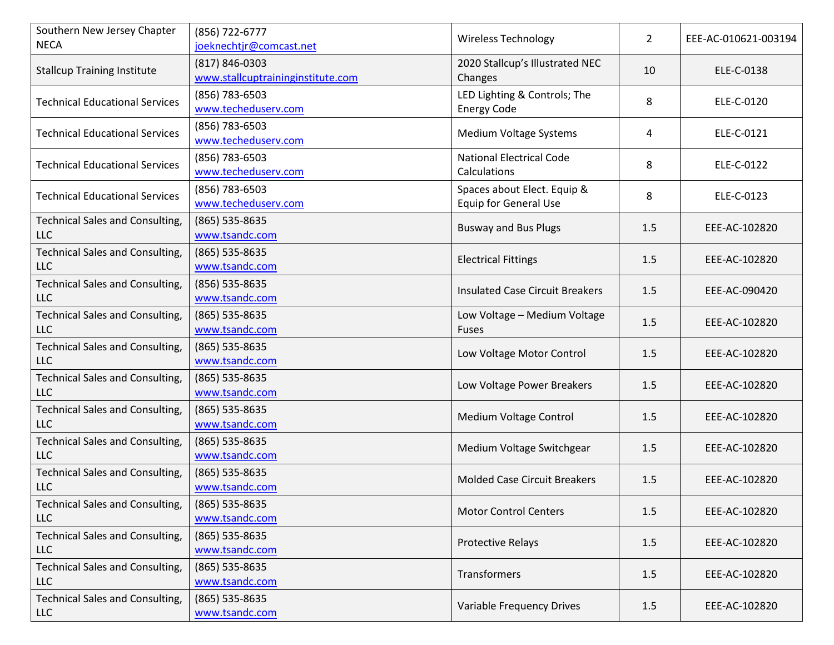| Southern New Jersey Chapter<br><b>NECA</b>           | (856) 722-6777<br>joeknechtjr@comcast.net           | <b>Wireless Technology</b>                                  | $\overline{2}$ | EEE-AC-010621-003194 |
|------------------------------------------------------|-----------------------------------------------------|-------------------------------------------------------------|----------------|----------------------|
| <b>Stallcup Training Institute</b>                   | (817) 846-0303<br>www.stallcuptraininginstitute.com | 2020 Stallcup's Illustrated NEC<br>Changes                  | 10             | ELE-C-0138           |
| <b>Technical Educational Services</b>                | (856) 783-6503<br>www.techeduserv.com               | LED Lighting & Controls; The<br><b>Energy Code</b>          | 8              | ELE-C-0120           |
| <b>Technical Educational Services</b>                | (856) 783-6503<br>www.techeduserv.com               | Medium Voltage Systems                                      | 4              | ELE-C-0121           |
| <b>Technical Educational Services</b>                | (856) 783-6503<br>www.techeduserv.com               | <b>National Electrical Code</b><br>Calculations             | 8              | ELE-C-0122           |
| <b>Technical Educational Services</b>                | (856) 783-6503<br>www.techeduserv.com               | Spaces about Elect. Equip &<br><b>Equip for General Use</b> | 8              | ELE-C-0123           |
| <b>Technical Sales and Consulting,</b><br><b>LLC</b> | (865) 535-8635<br>www.tsandc.com                    | <b>Busway and Bus Plugs</b>                                 | 1.5            | EEE-AC-102820        |
| <b>Technical Sales and Consulting,</b><br><b>LLC</b> | (865) 535-8635<br>www.tsandc.com                    | <b>Electrical Fittings</b>                                  | 1.5            | EEE-AC-102820        |
| Technical Sales and Consulting,<br><b>LLC</b>        | (856) 535-8635<br>www.tsandc.com                    | <b>Insulated Case Circuit Breakers</b>                      | 1.5            | EEE-AC-090420        |
| <b>Technical Sales and Consulting,</b><br><b>LLC</b> | $(865)$ 535-8635<br>www.tsandc.com                  | Low Voltage - Medium Voltage<br>Fuses                       | 1.5            | EEE-AC-102820        |
| <b>Technical Sales and Consulting,</b><br><b>LLC</b> | (865) 535-8635<br>www.tsandc.com                    | Low Voltage Motor Control                                   | 1.5            | EEE-AC-102820        |
| <b>Technical Sales and Consulting,</b><br><b>LLC</b> | (865) 535-8635<br>www.tsandc.com                    | Low Voltage Power Breakers                                  | 1.5            | EEE-AC-102820        |
| <b>Technical Sales and Consulting,</b><br><b>LLC</b> | (865) 535-8635<br>www.tsandc.com                    | Medium Voltage Control                                      | 1.5            | EEE-AC-102820        |
| <b>Technical Sales and Consulting,</b><br><b>LLC</b> | (865) 535-8635<br>www.tsandc.com                    | Medium Voltage Switchgear                                   | 1.5            | EEE-AC-102820        |
| <b>Technical Sales and Consulting,</b><br><b>LLC</b> | (865) 535-8635<br>www.tsandc.com                    | <b>Molded Case Circuit Breakers</b>                         | 1.5            | EEE-AC-102820        |
| Technical Sales and Consulting,<br><b>LLC</b>        | $(865)$ 535-8635<br>www.tsandc.com                  | <b>Motor Control Centers</b>                                | 1.5            | EEE-AC-102820        |
| <b>Technical Sales and Consulting,</b><br><b>LLC</b> | $(865)$ 535-8635<br>www.tsandc.com                  | <b>Protective Relays</b>                                    | 1.5            | EEE-AC-102820        |
| <b>Technical Sales and Consulting,</b><br><b>LLC</b> | (865) 535-8635<br>www.tsandc.com                    | Transformers                                                | 1.5            | EEE-AC-102820        |
| <b>Technical Sales and Consulting,</b><br><b>LLC</b> | (865) 535-8635<br>www.tsandc.com                    | Variable Frequency Drives                                   | 1.5            | EEE-AC-102820        |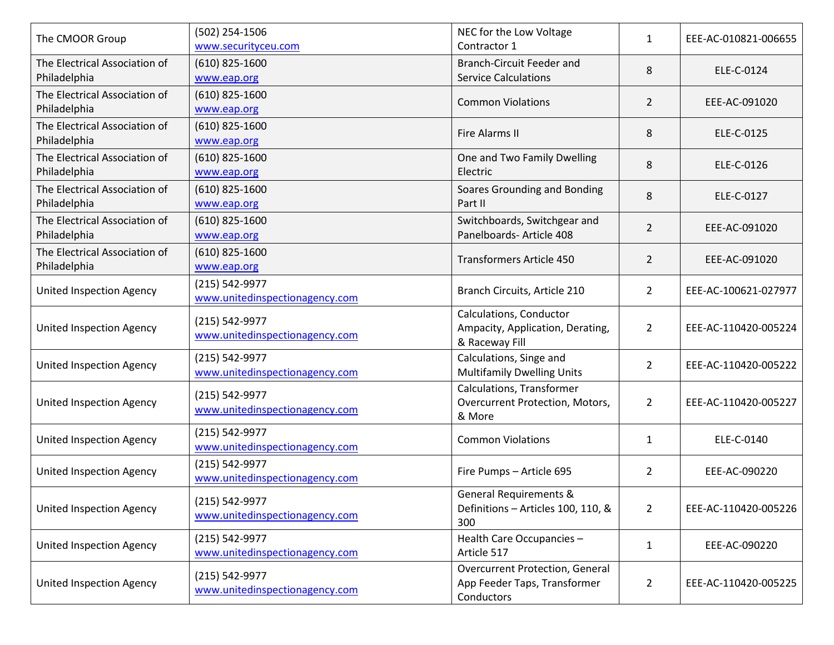| The CMOOR Group                               | (502) 254-1506<br>www.securityceu.com            | NEC for the Low Voltage<br>Contractor 1                                              | $\mathbf{1}$   | EEE-AC-010821-006655 |
|-----------------------------------------------|--------------------------------------------------|--------------------------------------------------------------------------------------|----------------|----------------------|
| The Electrical Association of<br>Philadelphia | $(610)$ 825-1600<br>www.eap.org                  | <b>Branch-Circuit Feeder and</b><br><b>Service Calculations</b>                      | 8              | ELE-C-0124           |
| The Electrical Association of<br>Philadelphia | $(610)$ 825-1600<br>www.eap.org                  | <b>Common Violations</b>                                                             | 2              | EEE-AC-091020        |
| The Electrical Association of<br>Philadelphia | $(610)$ 825-1600<br>www.eap.org                  | <b>Fire Alarms II</b>                                                                | 8              | ELE-C-0125           |
| The Electrical Association of<br>Philadelphia | $(610)$ 825-1600<br>www.eap.org                  | One and Two Family Dwelling<br>Electric                                              | 8              | ELE-C-0126           |
| The Electrical Association of<br>Philadelphia | $(610)$ 825-1600<br>www.eap.org                  | Soares Grounding and Bonding<br>Part II                                              | 8              | ELE-C-0127           |
| The Electrical Association of<br>Philadelphia | $(610)$ 825-1600<br>www.eap.org                  | Switchboards, Switchgear and<br>Panelboards- Article 408                             | $\overline{2}$ | EEE-AC-091020        |
| The Electrical Association of<br>Philadelphia | $(610)$ 825-1600<br>www.eap.org                  | <b>Transformers Article 450</b>                                                      | $\overline{2}$ | EEE-AC-091020        |
| <b>United Inspection Agency</b>               | (215) 542-9977<br>www.unitedinspectionagency.com | Branch Circuits, Article 210                                                         | $\overline{2}$ | EEE-AC-100621-027977 |
| <b>United Inspection Agency</b>               | (215) 542-9977<br>www.unitedinspectionagency.com | Calculations, Conductor<br>Ampacity, Application, Derating,<br>& Raceway Fill        | $\overline{2}$ | EEE-AC-110420-005224 |
| <b>United Inspection Agency</b>               | (215) 542-9977<br>www.unitedinspectionagency.com | Calculations, Singe and<br><b>Multifamily Dwelling Units</b>                         | $\overline{2}$ | EEE-AC-110420-005222 |
| <b>United Inspection Agency</b>               | (215) 542-9977<br>www.unitedinspectionagency.com | Calculations, Transformer<br>Overcurrent Protection, Motors,<br>& More               | $\overline{2}$ | EEE-AC-110420-005227 |
| <b>United Inspection Agency</b>               | (215) 542-9977<br>www.unitedinspectionagency.com | <b>Common Violations</b>                                                             | $\mathbf{1}$   | ELE-C-0140           |
| <b>United Inspection Agency</b>               | (215) 542-9977<br>www.unitedinspectionagency.com | Fire Pumps - Article 695                                                             | $\overline{2}$ | EEE-AC-090220        |
| <b>United Inspection Agency</b>               | (215) 542-9977<br>www.unitedinspectionagency.com | <b>General Requirements &amp;</b><br>Definitions - Articles 100, 110, &<br>300       | $2^{\circ}$    | EEE-AC-110420-005226 |
| <b>United Inspection Agency</b>               | (215) 542-9977<br>www.unitedinspectionagency.com | Health Care Occupancies -<br>Article 517                                             | 1              | EEE-AC-090220        |
| United Inspection Agency                      | (215) 542-9977<br>www.unitedinspectionagency.com | <b>Overcurrent Protection, General</b><br>App Feeder Taps, Transformer<br>Conductors | $\overline{2}$ | EEE-AC-110420-005225 |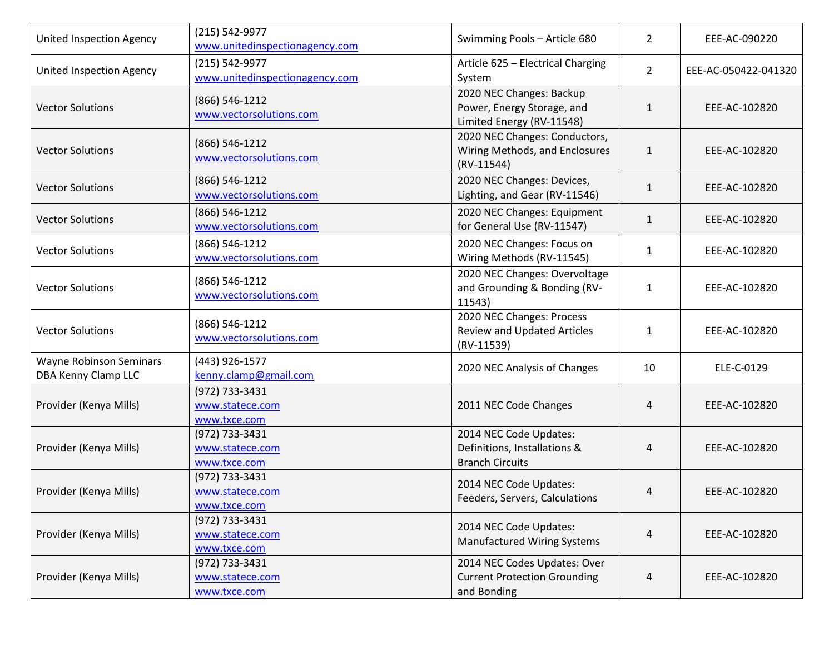| United Inspection Agency                              | (215) 542-9977<br>www.unitedinspectionagency.com  | Swimming Pools - Article 680                                                        | $\overline{2}$ | EEE-AC-090220        |
|-------------------------------------------------------|---------------------------------------------------|-------------------------------------------------------------------------------------|----------------|----------------------|
| United Inspection Agency                              | (215) 542-9977<br>www.unitedinspectionagency.com  | Article 625 - Electrical Charging<br>System                                         | $\overline{2}$ | EEE-AC-050422-041320 |
| <b>Vector Solutions</b>                               | (866) 546-1212<br>www.vectorsolutions.com         | 2020 NEC Changes: Backup<br>Power, Energy Storage, and<br>Limited Energy (RV-11548) | $\mathbf{1}$   | EEE-AC-102820        |
| <b>Vector Solutions</b>                               | (866) 546-1212<br>www.vectorsolutions.com         | 2020 NEC Changes: Conductors,<br>Wiring Methods, and Enclosures<br>$(RV-11544)$     | $\mathbf{1}$   | EEE-AC-102820        |
| <b>Vector Solutions</b>                               | (866) 546-1212<br>www.vectorsolutions.com         | 2020 NEC Changes: Devices,<br>Lighting, and Gear (RV-11546)                         | $\mathbf{1}$   | EEE-AC-102820        |
| <b>Vector Solutions</b>                               | (866) 546-1212<br>www.vectorsolutions.com         | 2020 NEC Changes: Equipment<br>for General Use (RV-11547)                           | $\mathbf{1}$   | EEE-AC-102820        |
| <b>Vector Solutions</b>                               | (866) 546-1212<br>www.vectorsolutions.com         | 2020 NEC Changes: Focus on<br>Wiring Methods (RV-11545)                             | 1              | EEE-AC-102820        |
| <b>Vector Solutions</b>                               | (866) 546-1212<br>www.vectorsolutions.com         | 2020 NEC Changes: Overvoltage<br>and Grounding & Bonding (RV-<br>11543)             | 1              | EEE-AC-102820        |
| <b>Vector Solutions</b>                               | (866) 546-1212<br>www.vectorsolutions.com         | 2020 NEC Changes: Process<br><b>Review and Updated Articles</b><br>(RV-11539)       | $\mathbf{1}$   | EEE-AC-102820        |
| <b>Wayne Robinson Seminars</b><br>DBA Kenny Clamp LLC | (443) 926-1577<br>kenny.clamp@gmail.com           | 2020 NEC Analysis of Changes                                                        | 10             | ELE-C-0129           |
| Provider (Kenya Mills)                                | (972) 733-3431<br>www.statece.com<br>www.txce.com | 2011 NEC Code Changes                                                               | 4              | EEE-AC-102820        |
| Provider (Kenya Mills)                                | (972) 733-3431<br>www.statece.com<br>www.txce.com | 2014 NEC Code Updates:<br>Definitions, Installations &<br><b>Branch Circuits</b>    | 4              | EEE-AC-102820        |
| Provider (Kenya Mills)                                | (972) 733-3431<br>www.statece.com<br>www.txce.com | 2014 NEC Code Updates:<br>Feeders, Servers, Calculations                            | 4              | EEE-AC-102820        |
| Provider (Kenya Mills)                                | (972) 733-3431<br>www.statece.com<br>www.txce.com | 2014 NEC Code Updates:<br><b>Manufactured Wiring Systems</b>                        | 4              | EEE-AC-102820        |
| Provider (Kenya Mills)                                | (972) 733-3431<br>www.statece.com<br>www.txce.com | 2014 NEC Codes Updates: Over<br><b>Current Protection Grounding</b><br>and Bonding  | 4              | EEE-AC-102820        |